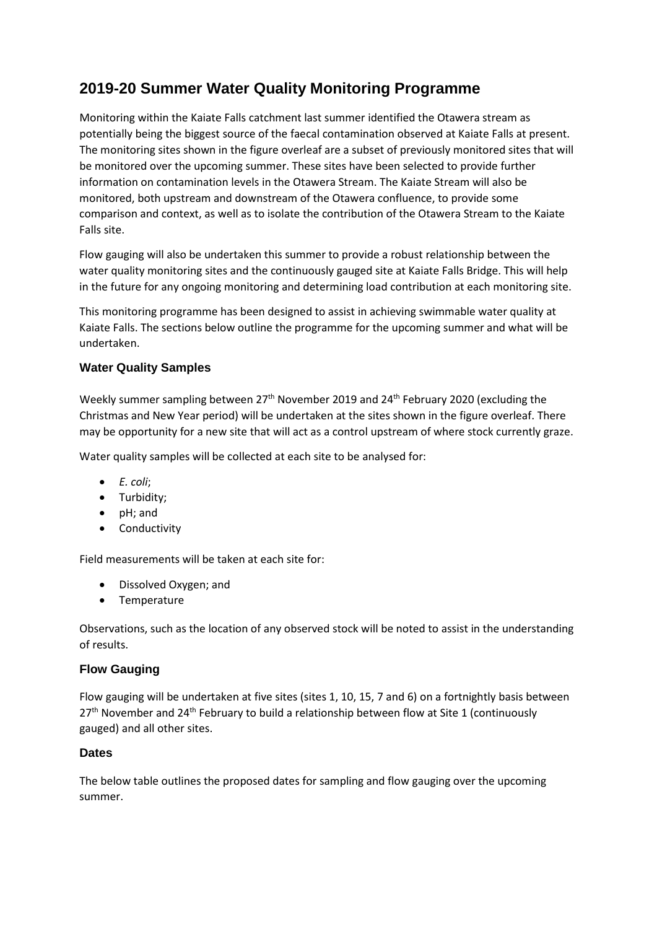## **2019-20 Summer Water Quality Monitoring Programme**

Monitoring within the Kaiate Falls catchment last summer identified the Otawera stream as potentially being the biggest source of the faecal contamination observed at Kaiate Falls at present. The monitoring sites shown in the figure overleaf are a subset of previously monitored sites that will be monitored over the upcoming summer. These sites have been selected to provide further information on contamination levels in the Otawera Stream. The Kaiate Stream will also be monitored, both upstream and downstream of the Otawera confluence, to provide some comparison and context, as well as to isolate the contribution of the Otawera Stream to the Kaiate Falls site.

Flow gauging will also be undertaken this summer to provide a robust relationship between the water quality monitoring sites and the continuously gauged site at Kaiate Falls Bridge. This will help in the future for any ongoing monitoring and determining load contribution at each monitoring site.

This monitoring programme has been designed to assist in achieving swimmable water quality at Kaiate Falls. The sections below outline the programme for the upcoming summer and what will be undertaken.

## **Water Quality Samples**

Weekly summer sampling between  $27<sup>th</sup>$  November 2019 and  $24<sup>th</sup>$  February 2020 (excluding the Christmas and New Year period) will be undertaken at the sites shown in the figure overleaf. There may be opportunity for a new site that will act as a control upstream of where stock currently graze.

Water quality samples will be collected at each site to be analysed for:

- *E. coli*;
- Turbidity;
- pH; and
- Conductivity

Field measurements will be taken at each site for:

- Dissolved Oxygen; and
- Temperature

Observations, such as the location of any observed stock will be noted to assist in the understanding of results.

## **Flow Gauging**

Flow gauging will be undertaken at five sites (sites 1, 10, 15, 7 and 6) on a fortnightly basis between  $27<sup>th</sup>$  November and  $24<sup>th</sup>$  February to build a relationship between flow at Site 1 (continuously gauged) and all other sites.

## **Dates**

The below table outlines the proposed dates for sampling and flow gauging over the upcoming summer.